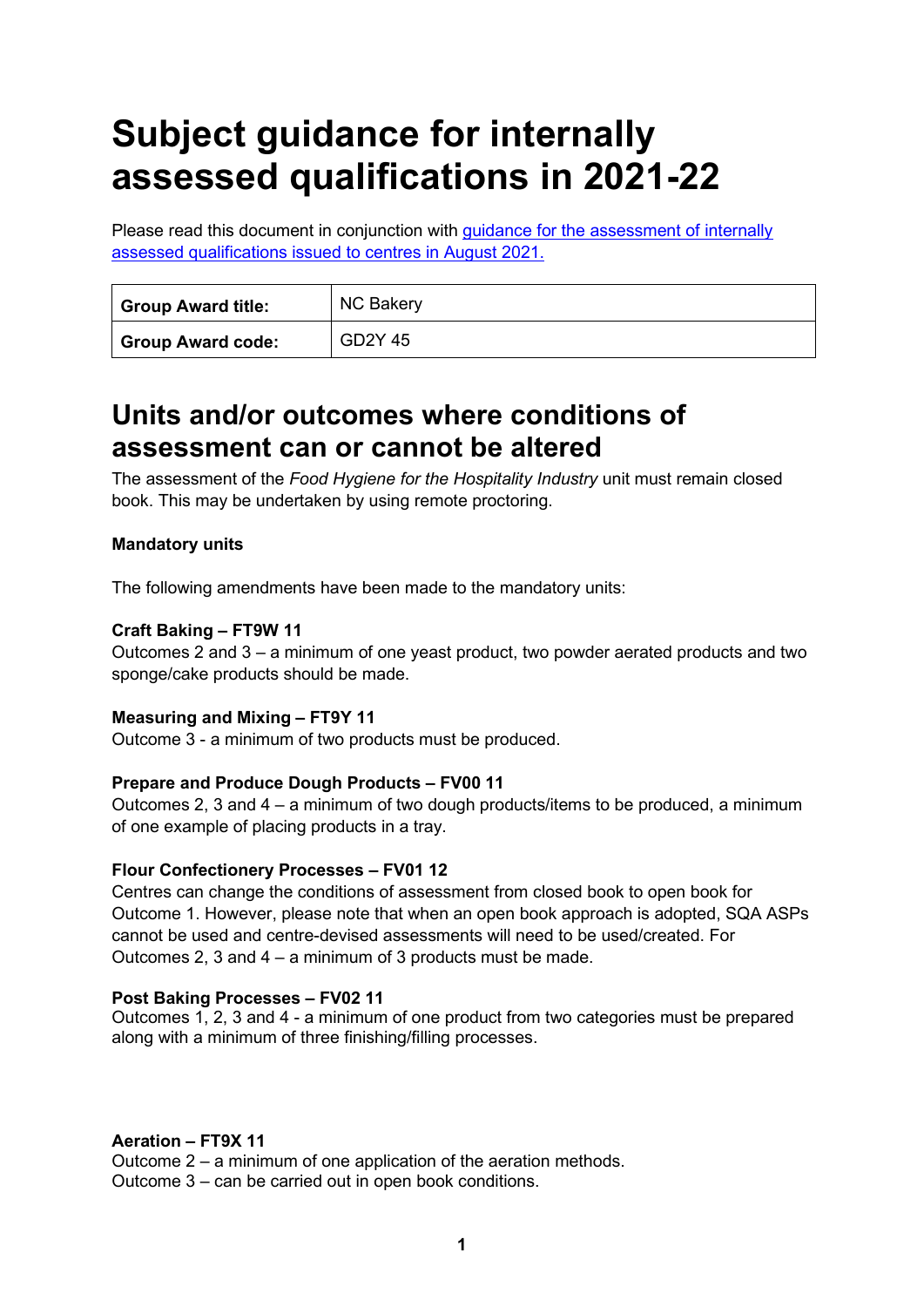# **Subject guidance for internally assessed qualifications in 2021-22**

Please read this document in conjunction with [guidance for the assessment of internally](https://www.sqa.org.uk/sqa/95044.html) [assessed qualifications issued to centres in August 2021.](https://www.sqa.org.uk/sqa/95044.html)

| <b>Group Award title:</b> | <b>NC Bakery</b> |
|---------------------------|------------------|
| <b>Group Award code:</b>  | GD2Y 45          |

### **Units and/or outcomes where conditions of assessment can or cannot be altered**

The assessment of the *Food Hygiene for the Hospitality Industry* unit must remain closed book. This may be undertaken by using remote proctoring.

### **Mandatory units**

The following amendments have been made to the mandatory units:

#### **Craft Baking – FT9W 11**

Outcomes 2 and 3 – a minimum of one yeast product, two powder aerated products and two sponge/cake products should be made.

#### **Measuring and Mixing – FT9Y 11**

Outcome 3 - a minimum of two products must be produced.

#### **Prepare and Produce Dough Products – FV00 11**

Outcomes 2, 3 and 4 – a minimum of two dough products/items to be produced, a minimum of one example of placing products in a tray.

#### **Flour Confectionery Processes – FV01 12**

Centres can change the conditions of assessment from closed book to open book for Outcome 1. However, please note that when an open book approach is adopted, SQA ASPs cannot be used and centre-devised assessments will need to be used/created. For Outcomes 2, 3 and 4 – a minimum of 3 products must be made.

#### **Post Baking Processes – FV02 11**

Outcomes 1, 2, 3 and 4 - a minimum of one product from two categories must be prepared along with a minimum of three finishing/filling processes.

#### **Aeration – FT9X 11**

Outcome 2 – a minimum of one application of the aeration methods. Outcome 3 – can be carried out in open book conditions.